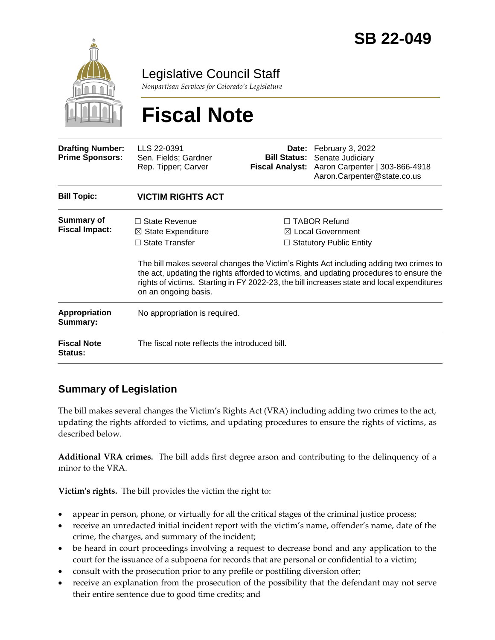

Legislative Council Staff

*Nonpartisan Services for Colorado's Legislature*

# **Fiscal Note**

| <b>Drafting Number:</b><br><b>Prime Sponsors:</b> | LLS 22-0391<br>Sen. Fields; Gardner<br>Rep. Tipper; Carver                                                                                                                                                                                                                                             | Date:<br><b>Bill Status:</b><br><b>Fiscal Analyst:</b> | February 3, 2022<br>Senate Judiciary<br>Aaron Carpenter   303-866-4918<br>Aaron.Carpenter@state.co.us |  |
|---------------------------------------------------|--------------------------------------------------------------------------------------------------------------------------------------------------------------------------------------------------------------------------------------------------------------------------------------------------------|--------------------------------------------------------|-------------------------------------------------------------------------------------------------------|--|
| <b>Bill Topic:</b>                                | <b>VICTIM RIGHTS ACT</b>                                                                                                                                                                                                                                                                               |                                                        |                                                                                                       |  |
| <b>Summary of</b><br><b>Fiscal Impact:</b>        | $\Box$ State Revenue<br>$\boxtimes$ State Expenditure                                                                                                                                                                                                                                                  |                                                        | $\Box$ TABOR Refund<br>$\boxtimes$ Local Government                                                   |  |
|                                                   | $\Box$ State Transfer                                                                                                                                                                                                                                                                                  | $\Box$ Statutory Public Entity                         |                                                                                                       |  |
|                                                   | The bill makes several changes the Victim's Rights Act including adding two crimes to<br>the act, updating the rights afforded to victims, and updating procedures to ensure the<br>rights of victims. Starting in FY 2022-23, the bill increases state and local expenditures<br>on an ongoing basis. |                                                        |                                                                                                       |  |
| Appropriation<br>Summary:                         | No appropriation is required.                                                                                                                                                                                                                                                                          |                                                        |                                                                                                       |  |
| <b>Fiscal Note</b><br>Status:                     | The fiscal note reflects the introduced bill.                                                                                                                                                                                                                                                          |                                                        |                                                                                                       |  |

# **Summary of Legislation**

The bill makes several changes the Victim's Rights Act (VRA) including adding two crimes to the act, updating the rights afforded to victims, and updating procedures to ensure the rights of victims, as described below.

**Additional VRA crimes.** The bill adds first degree arson and contributing to the delinquency of a minor to the VRA.

**Victim's rights.** The bill provides the victim the right to:

- appear in person, phone, or virtually for all the critical stages of the criminal justice process;
- receive an unredacted initial incident report with the victim's name, offender's name, date of the crime, the charges, and summary of the incident;
- be heard in court proceedings involving a request to decrease bond and any application to the court for the issuance of a subpoena for records that are personal or confidential to a victim;
- consult with the prosecution prior to any prefile or postfiling diversion offer;
- receive an explanation from the prosecution of the possibility that the defendant may not serve their entire sentence due to good time credits; and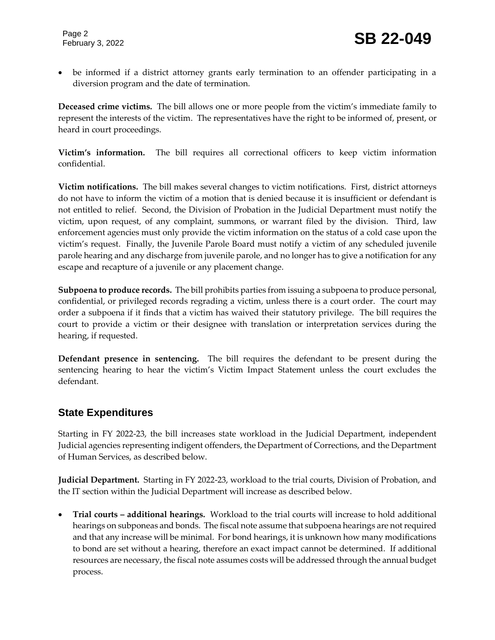be informed if a district attorney grants early termination to an offender participating in a diversion program and the date of termination.

**Deceased crime victims.** The bill allows one or more people from the victim's immediate family to represent the interests of the victim. The representatives have the right to be informed of, present, or heard in court proceedings.

**Victim's information.** The bill requires all correctional officers to keep victim information confidential.

**Victim notifications.** The bill makes several changes to victim notifications. First, district attorneys do not have to inform the victim of a motion that is denied because it is insufficient or defendant is not entitled to relief. Second, the Division of Probation in the Judicial Department must notify the victim, upon request, of any complaint, summons, or warrant filed by the division. Third, law enforcement agencies must only provide the victim information on the status of a cold case upon the victim's request. Finally, the Juvenile Parole Board must notify a victim of any scheduled juvenile parole hearing and any discharge from juvenile parole, and no longer has to give a notification for any escape and recapture of a juvenile or any placement change.

**Subpoena to produce records.** The bill prohibits parties from issuing a subpoena to produce personal, confidential, or privileged records regrading a victim, unless there is a court order. The court may order a subpoena if it finds that a victim has waived their statutory privilege. The bill requires the court to provide a victim or their designee with translation or interpretation services during the hearing, if requested.

**Defendant presence in sentencing.** The bill requires the defendant to be present during the sentencing hearing to hear the victim's Victim Impact Statement unless the court excludes the defendant.

# **State Expenditures**

Starting in FY 2022-23, the bill increases state workload in the Judicial Department, independent Judicial agencies representing indigent offenders, the Department of Corrections, and the Department of Human Services, as described below.

**Judicial Department.** Starting in FY 2022-23, workload to the trial courts, Division of Probation, and the IT section within the Judicial Department will increase as described below.

 **Trial courts – additional hearings.** Workload to the trial courts will increase to hold additional hearings on subponeas and bonds. The fiscal note assume that subpoena hearings are not required and that any increase will be minimal. For bond hearings, it is unknown how many modifications to bond are set without a hearing, therefore an exact impact cannot be determined. If additional resources are necessary, the fiscal note assumes costs will be addressed through the annual budget process.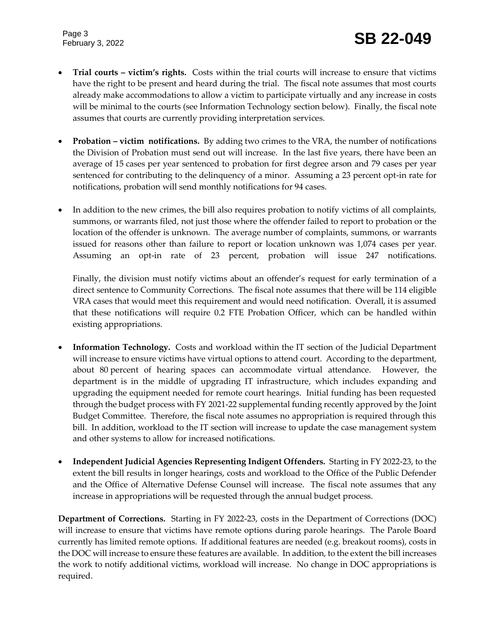Page 3

- **Trial courts – victim's rights.** Costs within the trial courts will increase to ensure that victims have the right to be present and heard during the trial. The fiscal note assumes that most courts already make accommodations to allow a victim to participate virtually and any increase in costs will be minimal to the courts (see Information Technology section below). Finally, the fiscal note assumes that courts are currently providing interpretation services.
- **Probation – victim notifications.**By adding two crimes to the VRA, the number of notifications the Division of Probation must send out will increase. In the last five years, there have been an average of 15 cases per year sentenced to probation for first degree arson and 79 cases per year sentenced for contributing to the delinquency of a minor. Assuming a 23 percent opt-in rate for notifications, probation will send monthly notifications for 94 cases.
- In addition to the new crimes, the bill also requires probation to notify victims of all complaints, summons, or warrants filed, not just those where the offender failed to report to probation or the location of the offender is unknown. The average number of complaints, summons, or warrants issued for reasons other than failure to report or location unknown was 1,074 cases per year. Assuming an opt-in rate of 23 percent, probation will issue 247 notifications.

Finally, the division must notify victims about an offender's request for early termination of a direct sentence to Community Corrections. The fiscal note assumes that there will be 114 eligible VRA cases that would meet this requirement and would need notification. Overall, it is assumed that these notifications will require 0.2 FTE Probation Officer, which can be handled within existing appropriations.

- **Information Technology.** Costs and workload within the IT section of the Judicial Department will increase to ensure victims have virtual options to attend court. According to the department, about 80 percent of hearing spaces can accommodate virtual attendance. However, the department is in the middle of upgrading IT infrastructure, which includes expanding and upgrading the equipment needed for remote court hearings. Initial funding has been requested through the budget process with FY 2021-22 supplemental funding recently approved by the Joint Budget Committee. Therefore, the fiscal note assumes no appropriation is required through this bill. In addition, workload to the IT section will increase to update the case management system and other systems to allow for increased notifications.
- **Independent Judicial Agencies Representing Indigent Offenders.** Starting in FY 2022-23, to the extent the bill results in longer hearings, costs and workload to the Office of the Public Defender and the Office of Alternative Defense Counsel will increase. The fiscal note assumes that any increase in appropriations will be requested through the annual budget process.

**Department of Corrections.** Starting in FY 2022-23, costs in the Department of Corrections (DOC) will increase to ensure that victims have remote options during parole hearings. The Parole Board currently has limited remote options. If additional features are needed (e.g. breakout rooms), costs in the DOC will increase to ensure these features are available. In addition, to the extent the bill increases the work to notify additional victims, workload will increase. No change in DOC appropriations is required.